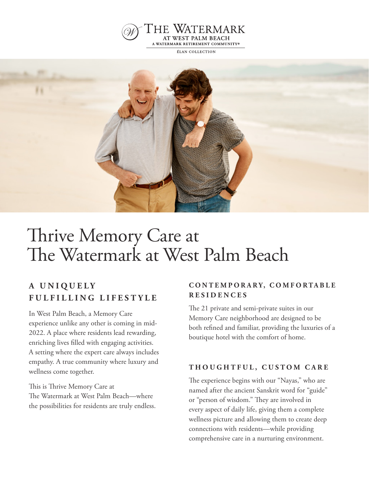

**ÉLAN COLLECTION** 



# Thrive Memory Care at The Watermark at West Palm Beach

## **A U N I Q U E L Y FULFILLING LIFESTYLE**

In West Palm Beach, a Memory Care experience unlike any other is coming in mid-2022. A place where residents lead rewarding, enriching lives filled with engaging activities. A setting where the expert care always includes empathy. A true community where luxury and wellness come together.

This is Thrive Memory Care at The Watermark at West Palm Beach—where the possibilities for residents are truly endless.

#### **C O N T E M P O R A R Y, C O M F O R TA B L E RESIDENCES**

The 21 private and semi-private suites in our Memory Care neighborhood are designed to be both refined and familiar, providing the luxuries of a boutique hotel with the comfort of home.

#### **THOUGHTFUL, CUSTOM CARE**

The experience begins with our "Nayas," who are named after the ancient Sanskrit word for "guide" or "person of wisdom." They are involved in every aspect of daily life, giving them a complete wellness picture and allowing them to create deep connections with residents—while providing comprehensive care in a nurturing environment.